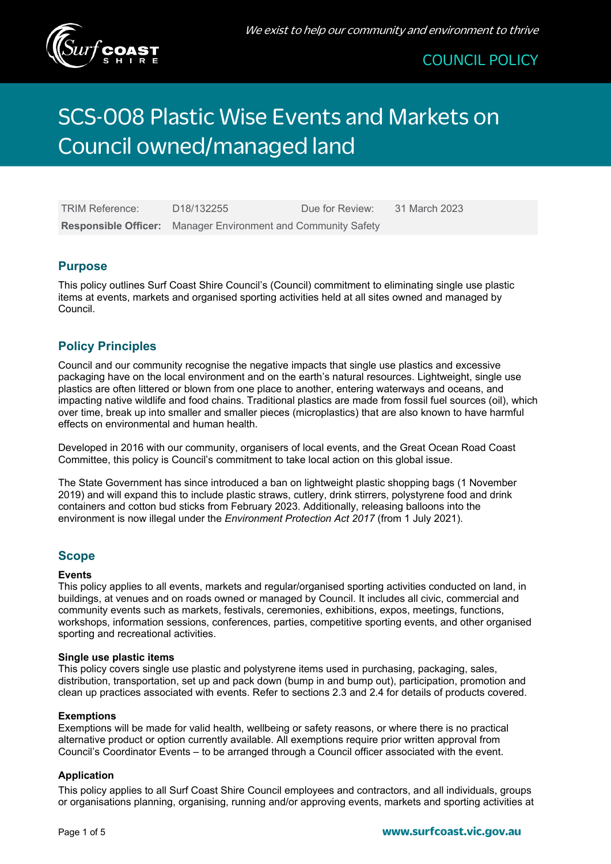

# SCS-008 Plastic Wise Events and Markets on Council owned/managed land

| <b>TRIM Reference:</b> | D <sub>18</sub> /132255                                              | Due for Review: | 31 March 2023 |
|------------------------|----------------------------------------------------------------------|-----------------|---------------|
|                        | <b>Responsible Officer:</b> Manager Environment and Community Safety |                 |               |

### **Purpose**

This policy outlines Surf Coast Shire Council's (Council) commitment to eliminating single use plastic items at events, markets and organised sporting activities held at all sites owned and managed by Council.

# **Policy Principles**

Council and our community recognise the negative impacts that single use plastics and excessive packaging have on the local environment and on the earth's natural resources. Lightweight, single use plastics are often littered or blown from one place to another, entering waterways and oceans, and impacting native wildlife and food chains. Traditional plastics are made from fossil fuel sources (oil), which over time, break up into smaller and smaller pieces (microplastics) that are also known to have harmful effects on environmental and human health.

Developed in 2016 with our community, organisers of local events, and the Great Ocean Road Coast Committee, this policy is Council's commitment to take local action on this global issue.

The State Government has since introduced a ban on lightweight plastic shopping bags (1 November 2019) and will expand this to include plastic straws, cutlery, drink stirrers, polystyrene food and drink containers and cotton bud sticks from February 2023. Additionally, releasing balloons into the environment is now illegal under the *Environment Protection Act 2017* (from 1 July 2021).

# **Scope**

#### **Events**

This policy applies to all events, markets and regular/organised sporting activities conducted on land, in buildings, at venues and on roads owned or managed by Council. It includes all civic, commercial and community events such as markets, festivals, ceremonies, exhibitions, expos, meetings, functions, workshops, information sessions, conferences, parties, competitive sporting events, and other organised sporting and recreational activities.

#### **Single use plastic items**

This policy covers single use plastic and polystyrene items used in purchasing, packaging, sales, distribution, transportation, set up and pack down (bump in and bump out), participation, promotion and clean up practices associated with events. Refer to sections 2.3 and 2.4 for details of products covered.

#### **Exemptions**

Exemptions will be made for valid health, wellbeing or safety reasons, or where there is no practical alternative product or option currently available. All exemptions require prior written approval from Council's Coordinator Events – to be arranged through a Council officer associated with the event.

#### **Application**

This policy applies to all Surf Coast Shire Council employees and contractors, and all individuals, groups or organisations planning, organising, running and/or approving events, markets and sporting activities at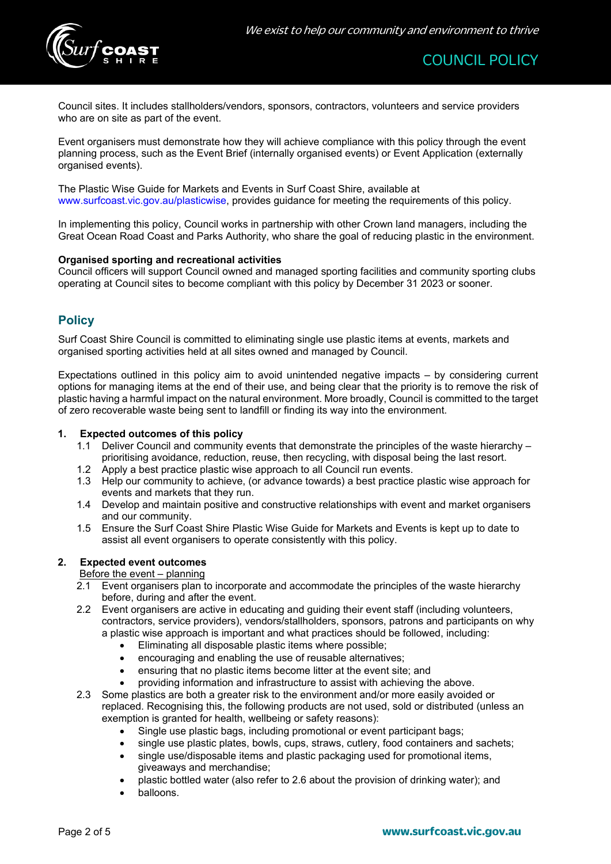

Council sites. It includes stallholders/vendors, sponsors, contractors, volunteers and service providers who are on site as part of the event.

Event organisers must demonstrate how they will achieve compliance with this policy through the event planning process, such as the Event Brief (internally organised events) or Event Application (externally organised events).

The Plastic Wise Guide for Markets and Events in Surf Coast Shire, available at [www.surfcoast.vic.gov.au/plasticwise,](http://www.surfcoast.vic.gov.au/plasticwise) provides guidance for meeting the requirements of this policy.

In implementing this policy, Council works in partnership with other Crown land managers, including the Great Ocean Road Coast and Parks Authority, who share the goal of reducing plastic in the environment.

#### **Organised sporting and recreational activities**

Council officers will support Council owned and managed sporting facilities and community sporting clubs operating at Council sites to become compliant with this policy by December 31 2023 or sooner.

# **Policy**

Surf Coast Shire Council is committed to eliminating single use plastic items at events, markets and organised sporting activities held at all sites owned and managed by Council.

Expectations outlined in this policy aim to avoid unintended negative impacts – by considering current options for managing items at the end of their use, and being clear that the priority is to remove the risk of plastic having a harmful impact on the natural environment. More broadly, Council is committed to the target of zero recoverable waste being sent to landfill or finding its way into the environment.

#### **1. Expected outcomes of this policy**

- 1.1 Deliver Council and community events that demonstrate the principles of the waste hierarchy prioritising avoidance, reduction, reuse, then recycling, with disposal being the last resort.
- 1.2 Apply a best practice plastic wise approach to all Council run events.
- 1.3 Help our community to achieve, (or advance towards) a best practice plastic wise approach for events and markets that they run.
- 1.4 Develop and maintain positive and constructive relationships with event and market organisers and our community.
- 1.5 Ensure the Surf Coast Shire Plastic Wise Guide for Markets and Events is kept up to date to assist all event organisers to operate consistently with this policy.

#### **2. Expected event outcomes**

#### Before the event – planning

- 2.1 Event organisers plan to incorporate and accommodate the principles of the waste hierarchy before, during and after the event.
- 2.2 Event organisers are active in educating and guiding their event staff (including volunteers, contractors, service providers), vendors/stallholders, sponsors, patrons and participants on why a plastic wise approach is important and what practices should be followed, including:
	- Eliminating all disposable plastic items where possible;
	- encouraging and enabling the use of reusable alternatives;
	- ensuring that no plastic items become litter at the event site; and
	- providing information and infrastructure to assist with achieving the above.
- 2.3 Some plastics are both a greater risk to the environment and/or more easily avoided or replaced. Recognising this, the following products are not used, sold or distributed (unless an exemption is granted for health, wellbeing or safety reasons):
	- Single use plastic bags, including promotional or event participant bags;
	- single use plastic plates, bowls, cups, straws, cutlery, food containers and sachets;
	- single use/disposable items and plastic packaging used for promotional items, giveaways and merchandise;
	- plastic bottled water (also refer to 2.6 about the provision of drinking water); and
	- balloons.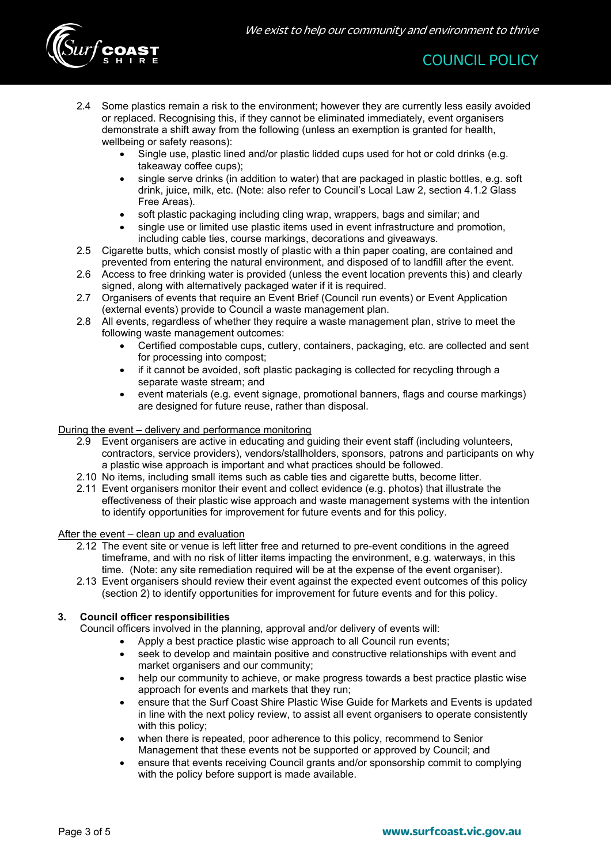

- 2.4 Some plastics remain a risk to the environment; however they are currently less easily avoided or replaced. Recognising this, if they cannot be eliminated immediately, event organisers demonstrate a shift away from the following (unless an exemption is granted for health, wellbeing or safety reasons):
	- Single use, plastic lined and/or plastic lidded cups used for hot or cold drinks (e.g. takeaway coffee cups);
	- single serve drinks (in addition to water) that are packaged in plastic bottles, e.g. soft drink, juice, milk, etc. (Note: also refer to Council's Local Law 2, section 4.1.2 Glass Free Areas).
	- soft plastic packaging including cling wrap, wrappers, bags and similar; and
	- single use or limited use plastic items used in event infrastructure and promotion, including cable ties, course markings, decorations and giveaways.
- 2.5 Cigarette butts, which consist mostly of plastic with a thin paper coating, are contained and prevented from entering the natural environment, and disposed of to landfill after the event.
- 2.6 Access to free drinking water is provided (unless the event location prevents this) and clearly signed, along with alternatively packaged water if it is required.
- 2.7 Organisers of events that require an Event Brief (Council run events) or Event Application (external events) provide to Council a waste management plan.
- 2.8 All events, regardless of whether they require a waste management plan, strive to meet the following waste management outcomes:
	- Certified compostable cups, cutlery, containers, packaging, etc. are collected and sent for processing into compost;
	- if it cannot be avoided, soft plastic packaging is collected for recycling through a separate waste stream; and
	- event materials (e.g. event signage, promotional banners, flags and course markings) are designed for future reuse, rather than disposal.

#### During the event – delivery and performance monitoring

- 2.9 Event organisers are active in educating and guiding their event staff (including volunteers, contractors, service providers), vendors/stallholders, sponsors, patrons and participants on why a plastic wise approach is important and what practices should be followed.
- 2.10 No items, including small items such as cable ties and cigarette butts, become litter.
- 2.11 Event organisers monitor their event and collect evidence (e.g. photos) that illustrate the effectiveness of their plastic wise approach and waste management systems with the intention to identify opportunities for improvement for future events and for this policy.

#### After the event – clean up and evaluation

- 2.12 The event site or venue is left litter free and returned to pre-event conditions in the agreed timeframe, and with no risk of litter items impacting the environment, e.g. waterways, in this time. (Note: any site remediation required will be at the expense of the event organiser).
- 2.13 Event organisers should review their event against the expected event outcomes of this policy (section 2) to identify opportunities for improvement for future events and for this policy.

#### **3. Council officer responsibilities**

- Council officers involved in the planning, approval and/or delivery of events will:
	- Apply a best practice plastic wise approach to all Council run events;
		- seek to develop and maintain positive and constructive relationships with event and market organisers and our community;
		- help our community to achieve, or make progress towards a best practice plastic wise approach for events and markets that they run;
		- ensure that the Surf Coast Shire Plastic Wise Guide for Markets and Events is updated in line with the next policy review, to assist all event organisers to operate consistently with this policy:
		- when there is repeated, poor adherence to this policy, recommend to Senior Management that these events not be supported or approved by Council; and
		- ensure that events receiving Council grants and/or sponsorship commit to complying with the policy before support is made available.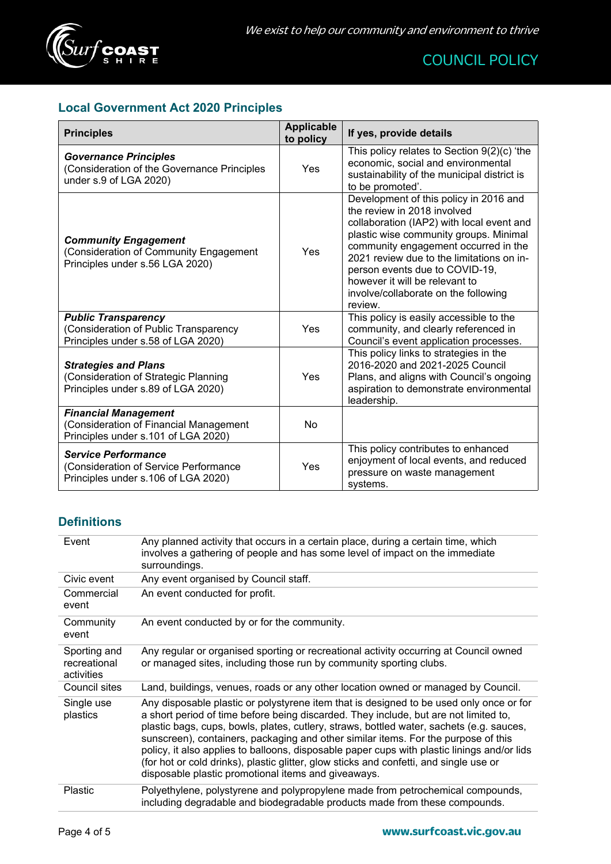

# **Local Government Act 2020 Principles**

| <b>Principles</b>                                                                                            | <b>Applicable</b><br>to policy | If yes, provide details                                                                                                                                                                                                                                                                                                                                                  |
|--------------------------------------------------------------------------------------------------------------|--------------------------------|--------------------------------------------------------------------------------------------------------------------------------------------------------------------------------------------------------------------------------------------------------------------------------------------------------------------------------------------------------------------------|
| <b>Governance Principles</b><br>(Consideration of the Governance Principles<br>under s.9 of LGA 2020)        | Yes                            | This policy relates to Section $9(2)(c)$ 'the<br>economic, social and environmental<br>sustainability of the municipal district is<br>to be promoted'.                                                                                                                                                                                                                   |
| <b>Community Engagement</b><br>(Consideration of Community Engagement<br>Principles under s.56 LGA 2020)     | Yes                            | Development of this policy in 2016 and<br>the review in 2018 involved<br>collaboration (IAP2) with local event and<br>plastic wise community groups. Minimal<br>community engagement occurred in the<br>2021 review due to the limitations on in-<br>person events due to COVID-19,<br>however it will be relevant to<br>involve/collaborate on the following<br>review. |
| <b>Public Transparency</b><br>(Consideration of Public Transparency<br>Principles under s.58 of LGA 2020)    | Yes                            | This policy is easily accessible to the<br>community, and clearly referenced in<br>Council's event application processes.                                                                                                                                                                                                                                                |
| <b>Strategies and Plans</b><br>(Consideration of Strategic Planning<br>Principles under s.89 of LGA 2020)    | Yes                            | This policy links to strategies in the<br>2016-2020 and 2021-2025 Council<br>Plans, and aligns with Council's ongoing<br>aspiration to demonstrate environmental<br>leadership.                                                                                                                                                                                          |
| <b>Financial Management</b><br>(Consideration of Financial Management<br>Principles under s.101 of LGA 2020) | No                             |                                                                                                                                                                                                                                                                                                                                                                          |
| <b>Service Performance</b><br>(Consideration of Service Performance<br>Principles under s.106 of LGA 2020)   | Yes                            | This policy contributes to enhanced<br>enjoyment of local events, and reduced<br>pressure on waste management<br>systems.                                                                                                                                                                                                                                                |

# **Definitions**

| Event                                      | Any planned activity that occurs in a certain place, during a certain time, which<br>involves a gathering of people and has some level of impact on the immediate<br>surroundings.                                                                                                                                                                                                                                                                                                                                                                                                                                |
|--------------------------------------------|-------------------------------------------------------------------------------------------------------------------------------------------------------------------------------------------------------------------------------------------------------------------------------------------------------------------------------------------------------------------------------------------------------------------------------------------------------------------------------------------------------------------------------------------------------------------------------------------------------------------|
| Civic event                                | Any event organised by Council staff.                                                                                                                                                                                                                                                                                                                                                                                                                                                                                                                                                                             |
| Commercial<br>event                        | An event conducted for profit.                                                                                                                                                                                                                                                                                                                                                                                                                                                                                                                                                                                    |
| Community<br>event                         | An event conducted by or for the community.                                                                                                                                                                                                                                                                                                                                                                                                                                                                                                                                                                       |
| Sporting and<br>recreational<br>activities | Any regular or organised sporting or recreational activity occurring at Council owned<br>or managed sites, including those run by community sporting clubs.                                                                                                                                                                                                                                                                                                                                                                                                                                                       |
| Council sites                              | Land, buildings, venues, roads or any other location owned or managed by Council.                                                                                                                                                                                                                                                                                                                                                                                                                                                                                                                                 |
| Single use<br>plastics                     | Any disposable plastic or polystyrene item that is designed to be used only once or for<br>a short period of time before being discarded. They include, but are not limited to,<br>plastic bags, cups, bowls, plates, cutlery, straws, bottled water, sachets (e.g. sauces,<br>sunscreen), containers, packaging and other similar items. For the purpose of this<br>policy, it also applies to balloons, disposable paper cups with plastic linings and/or lids<br>(for hot or cold drinks), plastic glitter, glow sticks and confetti, and single use or<br>disposable plastic promotional items and giveaways. |
| Plastic                                    | Polyethylene, polystyrene and polypropylene made from petrochemical compounds,<br>including degradable and biodegradable products made from these compounds.                                                                                                                                                                                                                                                                                                                                                                                                                                                      |